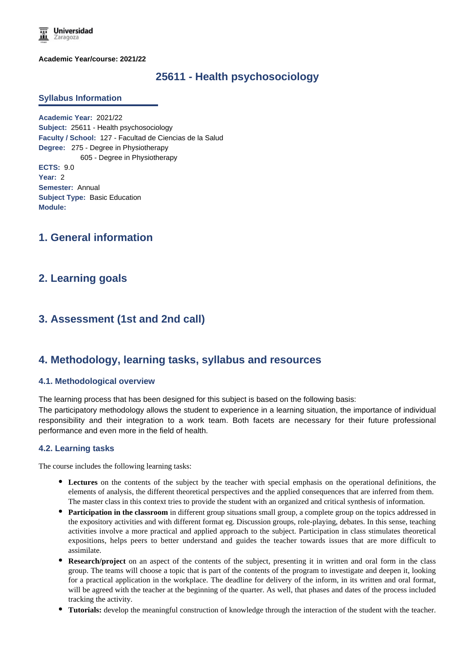**Universidad** Zaragoza

**Academic Year/course: 2021/22**

# **25611 - Health psychosociology**

#### **Syllabus Information**

**Academic Year:** 2021/22 **Subject:** 25611 - Health psychosociology **Faculty / School:** 127 - Facultad de Ciencias de la Salud **Degree:** 275 - Degree in Physiotherapy 605 - Degree in Physiotherapy **ECTS:** 9.0 **Year:** 2 **Semester:** Annual **Subject Type:** Basic Education **Module:**

# **1. General information**

## **2. Learning goals**

# **3. Assessment (1st and 2nd call)**

## **4. Methodology, learning tasks, syllabus and resources**

#### **4.1. Methodological overview**

The learning process that has been designed for this subject is based on the following basis:

The participatory methodology allows the student to experience in a learning situation, the importance of individual responsibility and their integration to a work team. Both facets are necessary for their future professional performance and even more in the field of health.

#### **4.2. Learning tasks**

The course includes the following learning tasks:

- **Lectures** on the contents of the subject by the teacher with special emphasis on the operational definitions, the elements of analysis, the different theoretical perspectives and the applied consequences that are inferred from them. The master class in this context tries to provide the student with an organized and critical synthesis of information.
- **Participation in the classroom** in different group situations small group, a complete group on the topics addressed in the expository activities and with different format eg. Discussion groups, role-playing, debates. In this sense, teaching activities involve a more practical and applied approach to the subject. Participation in class stimulates theoretical expositions, helps peers to better understand and guides the teacher towards issues that are more difficult to assimilate.
- **Research/project** on an aspect of the contents of the subject, presenting it in written and oral form in the class group. The teams will choose a topic that is part of the contents of the program to investigate and deepen it, looking for a practical application in the workplace. The deadline for delivery of the inform, in its written and oral format, will be agreed with the teacher at the beginning of the quarter. As well, that phases and dates of the process included tracking the activity.
- **Tutorials:** develop the meaningful construction of knowledge through the interaction of the student with the teacher.